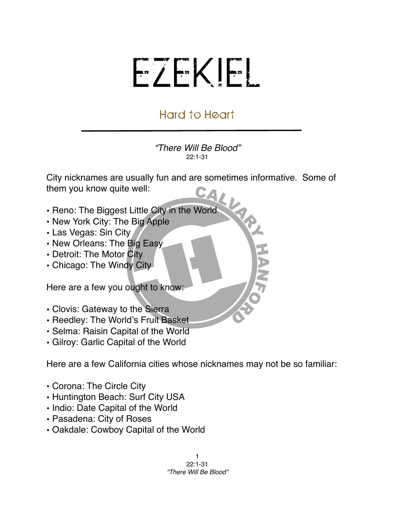## EZEKIEL

## Hard to Heart

*"There Will Be Blood"* 22:1-31

NHT.

City nicknames are usually fun and are sometimes informative. Some of them you know quite well:

- Reno: The Biggest Little City in the World
- New York City: The Big Apple
- Las Vegas: Sin City
- New Orleans: The Big Easy
- Detroit: The Motor City
- Chicago: The Windy City

Here are a few you ought to know:

- Clovis: Gateway to the Sierra
- Reedley: The World's Fruit Basket
- Selma: Raisin Capital of the World
- Gilroy: Garlic Capital of the World

Here are a few California cities whose nicknames may not be so familiar:

- Corona: The Circle City
- Huntington Beach: Surf City USA
- Indio: Date Capital of the World
- Pasadena: City of Roses
- Oakdale: Cowboy Capital of the World

1 22:1-31 *"There Will Be Blood"*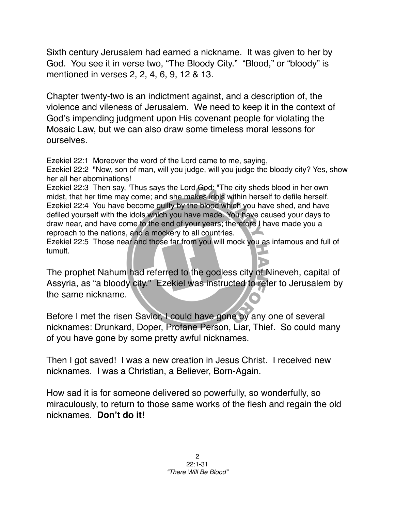Sixth century Jerusalem had earned a nickname. It was given to her by God. You see it in verse two, "The Bloody City." "Blood," or "bloody" is mentioned in verses 2, 2, 4, 6, 9, 12 & 13.

Chapter twenty-two is an indictment against, and a description of, the violence and vileness of Jerusalem. We need to keep it in the context of God's impending judgment upon His covenant people for violating the Mosaic Law, but we can also draw some timeless moral lessons for ourselves.

Ezekiel 22:1 Moreover the word of the Lord came to me, saying,

Ezekiel 22:2 "Now, son of man, will you judge, will you judge the bloody city? Yes, show her all her abominations!

Ezekiel 22:3 Then say, 'Thus says the Lord God: "The city sheds blood in her own midst, that her time may come; and she makes idols within herself to defile herself. Ezekiel 22:4 You have become guilty by the blood which you have shed, and have defiled yourself with the idols which you have made. You have caused your days to draw near, and have come to the end of your years; therefore I have made you a reproach to the nations, and a mockery to all countries.

Ezekiel 22:5 Those near and those far from you will mock you as infamous and full of tumult.

The prophet Nahum had referred to the godless city of Nineveh, capital of Assyria, as "a bloody city." Ezekiel was instructed to refer to Jerusalem by the same nickname.

Before I met the risen Savior, I could have gone by any one of several nicknames: Drunkard, Doper, Profane Person, Liar, Thief. So could many of you have gone by some pretty awful nicknames.

Then I got saved! I was a new creation in Jesus Christ. I received new nicknames. I was a Christian, a Believer, Born-Again.

How sad it is for someone delivered so powerfully, so wonderfully, so miraculously, to return to those same works of the flesh and regain the old nicknames. **Don't do it!**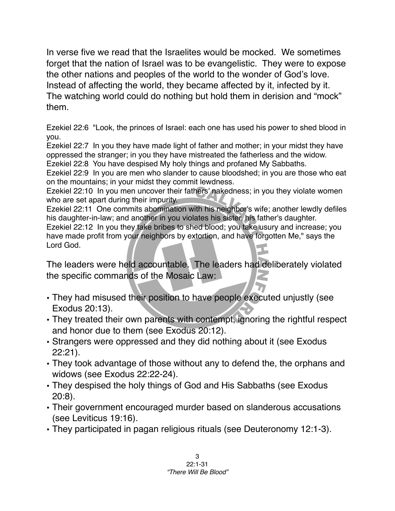In verse five we read that the Israelites would be mocked. We sometimes forget that the nation of Israel was to be evangelistic. They were to expose the other nations and peoples of the world to the wonder of God's love. Instead of affecting the world, they became affected by it, infected by it. The watching world could do nothing but hold them in derision and "mock" them.

Ezekiel 22:6 "Look, the princes of Israel: each one has used his power to shed blood in you.

Ezekiel 22:7 In you they have made light of father and mother; in your midst they have oppressed the stranger; in you they have mistreated the fatherless and the widow. Ezekiel 22:8 You have despised My holy things and profaned My Sabbaths.

Ezekiel 22:9 In you are men who slander to cause bloodshed; in you are those who eat on the mountains; in your midst they commit lewdness.

Ezekiel 22:10 In you men uncover their fathers' nakedness; in you they violate women who are set apart during their impurity.

Ezekiel 22:11 One commits abomination with his neighbor's wife; another lewdly defiles his daughter-in-law; and another in you violates his sister, his father's daughter. Ezekiel 22:12 In you they take bribes to shed blood; you take usury and increase; you have made profit from your neighbors by extortion, and have forgotten Me," says the Lord God.

The leaders were held accountable. The leaders had deliberately violated the specific commands of the Mosaic Law:

- They had misused their position to have people executed unjustly (see Exodus 20:13).
- They treated their own parents with contempt, ignoring the rightful respect and honor due to them (see Exodus 20:12).
- Strangers were oppressed and they did nothing about it (see Exodus 22:21).
- They took advantage of those without any to defend the, the orphans and widows (see Exodus 22:22-24).
- They despised the holy things of God and His Sabbaths (see Exodus 20:8).
- Their government encouraged murder based on slanderous accusations (see Leviticus 19:16).
- They participated in pagan religious rituals (see Deuteronomy 12:1-3).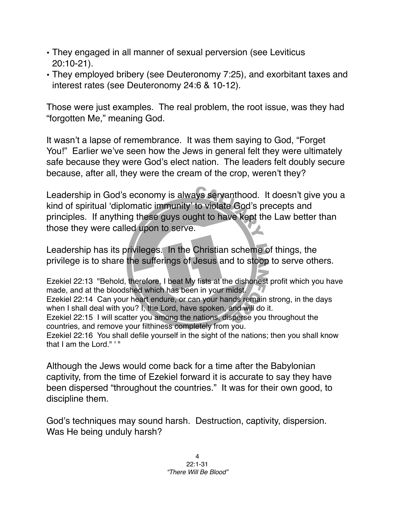- They engaged in all manner of sexual perversion (see Leviticus 20:10-21).
- They employed bribery (see Deuteronomy 7:25), and exorbitant taxes and interest rates (see Deuteronomy 24:6 & 10-12).

Those were just examples. The real problem, the root issue, was they had "forgotten Me," meaning God.

It wasn't a lapse of remembrance. It was them saying to God, "Forget You!" Earlier we've seen how the Jews in general felt they were ultimately safe because they were God's elect nation. The leaders felt doubly secure because, after all, they were the cream of the crop, weren't they?

Leadership in God's economy is always servanthood. It doesn't give you a kind of spiritual ʻdiplomatic immunity' to violate God's precepts and principles. If anything these guys ought to have kept the Law better than those they were called upon to serve.

Leadership has its privileges. In the Christian scheme of things, the privilege is to share the sufferings of Jesus and to stoop to serve others.

Ezekiel 22:13 "Behold, therefore, I beat My fists at the dishonest profit which you have made, and at the bloodshed which has been in your midst. Ezekiel 22:14 Can your heart endure, or can your hands remain strong, in the days when I shall deal with you? I, the Lord, have spoken, and will do it. Ezekiel 22:15 I will scatter you among the nations, disperse you throughout the countries, and remove your filthiness completely from you. Ezekiel 22:16 You shall defile yourself in the sight of the nations; then you shall know that I am the Lord." '"

Although the Jews would come back for a time after the Babylonian captivity, from the time of Ezekiel forward it is accurate to say they have been dispersed "throughout the countries." It was for their own good, to discipline them.

God's techniques may sound harsh. Destruction, captivity, dispersion. Was He being unduly harsh?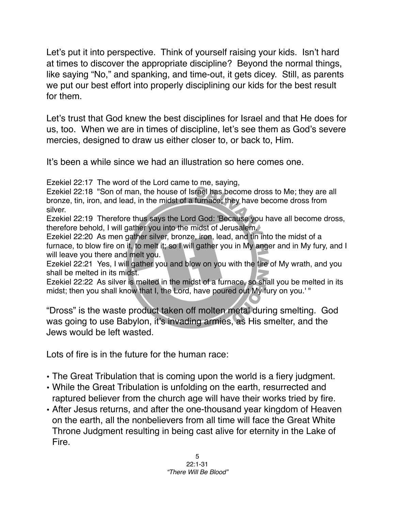Let's put it into perspective. Think of yourself raising your kids. Isn't hard at times to discover the appropriate discipline? Beyond the normal things, like saying "No," and spanking, and time-out, it gets dicey. Still, as parents we put our best effort into properly disciplining our kids for the best result for them.

Let's trust that God knew the best disciplines for Israel and that He does for us, too. When we are in times of discipline, let's see them as God's severe mercies, designed to draw us either closer to, or back to, Him.

It's been a while since we had an illustration so here comes one.

Ezekiel 22:17 The word of the Lord came to me, saying,

Ezekiel 22:18 "Son of man, the house of Israel has become dross to Me; they are all bronze, tin, iron, and lead, in the midst of a furnace; they have become dross from silver.

Ezekiel 22:19 Therefore thus says the Lord God: 'Because you have all become dross, therefore behold, I will gather you into the midst of Jerusalem.

Ezekiel 22:20 As men gather silver, bronze, iron, lead, and tin into the midst of a furnace, to blow fire on it, to melt it; so I will gather you in My anger and in My fury, and I will leave you there and melt you.

Ezekiel 22:21 Yes, I will gather you and blow on you with the fire of My wrath, and you shall be melted in its midst.

Ezekiel 22:22 As silver is melted in the midst of a furnace, so shall you be melted in its midst; then you shall know that I, the Lord, have poured out My fury on you.' "

"Dross" is the waste product taken off molten metal during smelting. God was going to use Babylon, it's invading armies, as His smelter, and the Jews would be left wasted.

Lots of fire is in the future for the human race:

- The Great Tribulation that is coming upon the world is a fiery judgment.
- While the Great Tribulation is unfolding on the earth, resurrected and raptured believer from the church age will have their works tried by fire.
- After Jesus returns, and after the one-thousand year kingdom of Heaven on the earth, all the nonbelievers from all time will face the Great White Throne Judgment resulting in being cast alive for eternity in the Lake of Fire.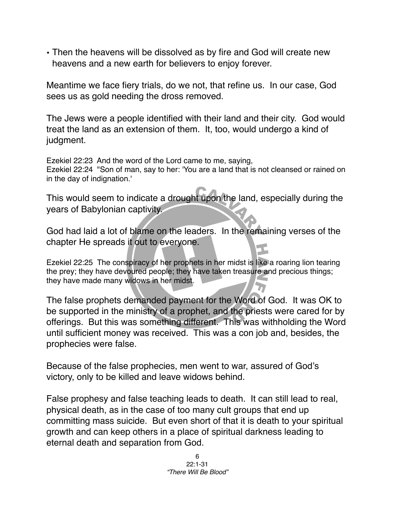• Then the heavens will be dissolved as by fire and God will create new heavens and a new earth for believers to enjoy forever.

Meantime we face fiery trials, do we not, that refine us. In our case, God sees us as gold needing the dross removed.

The Jews were a people identified with their land and their city. God would treat the land as an extension of them. It, too, would undergo a kind of judgment.

Ezekiel 22:23 And the word of the Lord came to me, saying, Ezekiel 22:24 "Son of man, say to her: 'You are a land that is not cleansed or rained on in the day of indignation.'

This would seem to indicate a drought upon the land, especially during the years of Babylonian captivity.

God had laid a lot of blame on the leaders. In the remaining verses of the chapter He spreads it out to everyone.

Ezekiel 22:25 The conspiracy of her prophets in her midst is like a roaring lion tearing the prey; they have devoured people; they have taken treasure and precious things; they have made many widows in her midst.

The false prophets demanded payment for the Word of God. It was OK to be supported in the ministry of a prophet, and the priests were cared for by offerings. But this was something different. This was withholding the Word until sufficient money was received. This was a con job and, besides, the prophecies were false.

Because of the false prophecies, men went to war, assured of God's victory, only to be killed and leave widows behind.

False prophesy and false teaching leads to death. It can still lead to real, physical death, as in the case of too many cult groups that end up committing mass suicide. But even short of that it is death to your spiritual growth and can keep others in a place of spiritual darkness leading to eternal death and separation from God.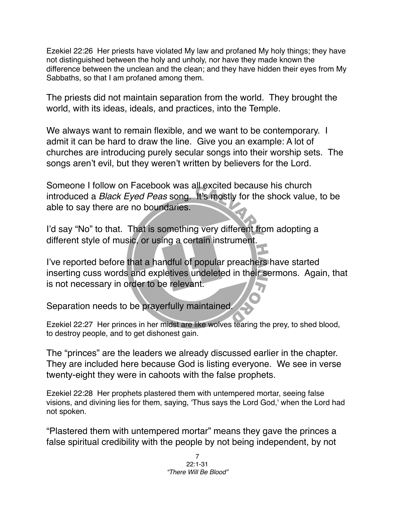Ezekiel 22:26 Her priests have violated My law and profaned My holy things; they have not distinguished between the holy and unholy, nor have they made known the difference between the unclean and the clean; and they have hidden their eyes from My Sabbaths, so that I am profaned among them.

The priests did not maintain separation from the world. They brought the world, with its ideas, ideals, and practices, into the Temple.

We always want to remain flexible, and we want to be contemporary. I admit it can be hard to draw the line. Give you an example: A lot of churches are introducing purely secular songs into their worship sets. The songs aren't evil, but they weren't written by believers for the Lord.

Someone I follow on Facebook was all excited because his church introduced a *Black Eyed Peas* song. It's mostly for the shock value, to be able to say there are no boundaries.

I'd say "No" to that. That is something very different from adopting a different style of music, or using a certain instrument.

I've reported before that a handful of popular preachers have started inserting cuss words and expletives undeleted in their sermons. Again, that is not necessary in order to be relevant.

Separation needs to be prayerfully maintained.

Ezekiel 22:27 Her princes in her midst are like wolves tearing the prey, to shed blood, to destroy people, and to get dishonest gain.

The "princes" are the leaders we already discussed earlier in the chapter. They are included here because God is listing everyone. We see in verse twenty-eight they were in cahoots with the false prophets.

Ezekiel 22:28 Her prophets plastered them with untempered mortar, seeing false visions, and divining lies for them, saying, 'Thus says the Lord God,' when the Lord had not spoken.

"Plastered them with untempered mortar" means they gave the princes a false spiritual credibility with the people by not being independent, by not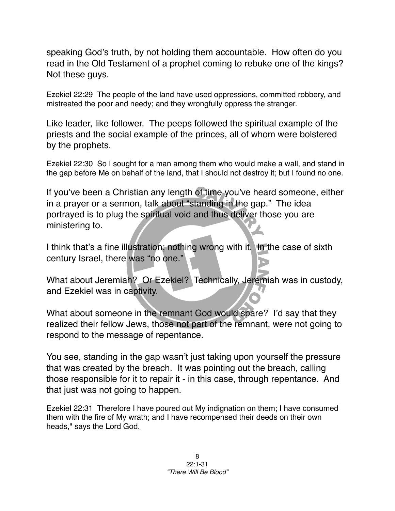speaking God's truth, by not holding them accountable. How often do you read in the Old Testament of a prophet coming to rebuke one of the kings? Not these guys.

Ezekiel 22:29 The people of the land have used oppressions, committed robbery, and mistreated the poor and needy; and they wrongfully oppress the stranger.

Like leader, like follower. The peeps followed the spiritual example of the priests and the social example of the princes, all of whom were bolstered by the prophets.

Ezekiel 22:30 So I sought for a man among them who would make a wall, and stand in the gap before Me on behalf of the land, that I should not destroy it; but I found no one.

If you've been a Christian any length of time you've heard someone, either in a prayer or a sermon, talk about "standing in the gap." The idea portrayed is to plug the spiritual void and thus deliver those you are ministering to.

I think that's a fine illustration; nothing wrong with it. In the case of sixth century Israel, there was "no one."

What about Jeremiah? Or Ezekiel? Technically, Jeremiah was in custody, and Ezekiel was in captivity.

What about someone in the remnant God would spare? I'd say that they realized their fellow Jews, those not part of the remnant, were not going to respond to the message of repentance.

You see, standing in the gap wasn't just taking upon yourself the pressure that was created by the breach. It was pointing out the breach, calling those responsible for it to repair it - in this case, through repentance. And that just was not going to happen.

Ezekiel 22:31 Therefore I have poured out My indignation on them; I have consumed them with the fire of My wrath; and I have recompensed their deeds on their own heads," says the Lord God.